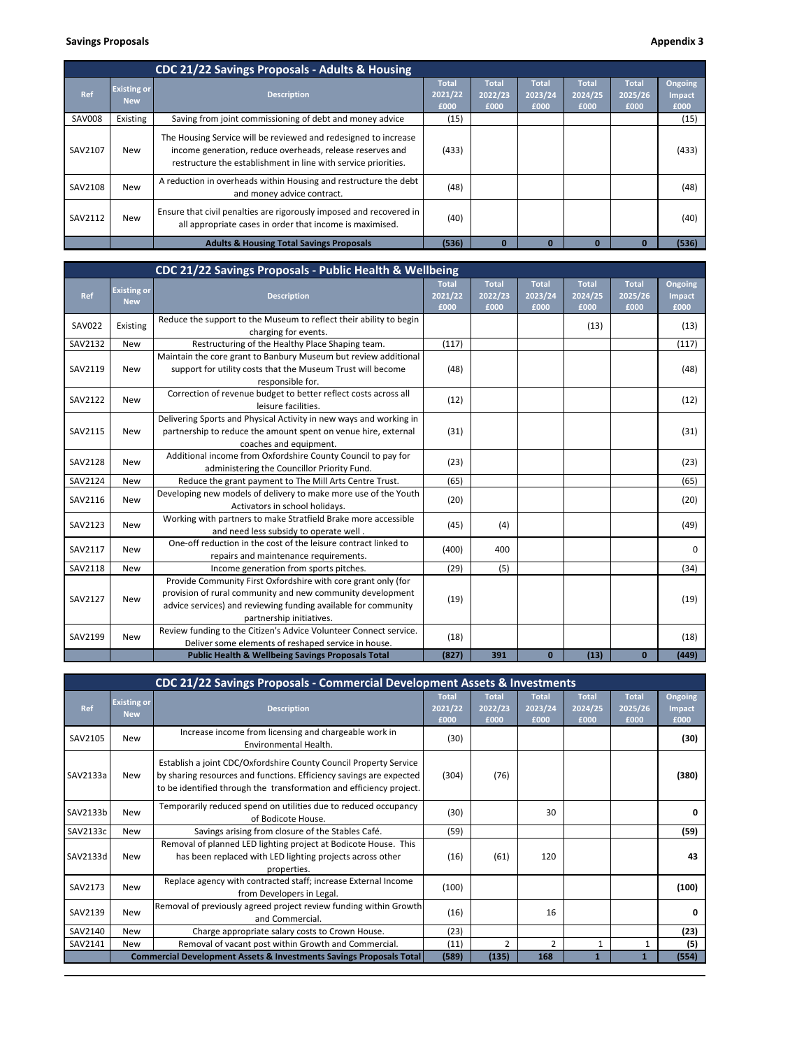## **Savings Proposals Appendix 3 Appendix 3 Appendix 3 Appendix 3 Appendix 3 Appendix 3 Appendix 3**

|               |                                  | CDC 21/22 Savings Proposals - Adults & Housing                                                                                                                                                 |                                 |                                 |                                 |                                 |                                 |                           |
|---------------|----------------------------------|------------------------------------------------------------------------------------------------------------------------------------------------------------------------------------------------|---------------------------------|---------------------------------|---------------------------------|---------------------------------|---------------------------------|---------------------------|
| Ref           | <b>Existing or</b><br><b>New</b> | <b>Description</b>                                                                                                                                                                             | <b>Total</b><br>2021/22<br>£000 | <b>Total</b><br>2022/23<br>£000 | <b>Total</b><br>2023/24<br>£000 | <b>Total</b><br>2024/25<br>£000 | <b>Total</b><br>2025/26<br>£000 | Ongoing<br>Impact<br>£000 |
| <b>SAV008</b> | Existing                         | Saving from joint commissioning of debt and money advice                                                                                                                                       | (15)                            |                                 |                                 |                                 |                                 | (15)                      |
| SAV2107       | New                              | The Housing Service will be reviewed and redesigned to increase<br>income generation, reduce overheads, release reserves and<br>restructure the establishment in line with service priorities. | (433)                           |                                 |                                 |                                 |                                 | (433)                     |
| SAV2108       | <b>New</b>                       | A reduction in overheads within Housing and restructure the debt<br>and money advice contract.                                                                                                 | (48)                            |                                 |                                 |                                 |                                 | (48)                      |
| SAV2112       | New                              | Ensure that civil penalties are rigorously imposed and recovered in<br>all appropriate cases in order that income is maximised.                                                                | (40)                            |                                 |                                 |                                 |                                 | (40)                      |
|               |                                  | <b>Adults &amp; Housing Total Savings Proposals</b>                                                                                                                                            | (536)                           |                                 |                                 | 0                               | $\Omega$                        | (536)                     |

|               |                                  | CDC 21/22 Savings Proposals - Public Health & Wellbeing                                                                                                                                                                   |                                 |                                 |                                 |                                 |                                 |                           |
|---------------|----------------------------------|---------------------------------------------------------------------------------------------------------------------------------------------------------------------------------------------------------------------------|---------------------------------|---------------------------------|---------------------------------|---------------------------------|---------------------------------|---------------------------|
| Ref           | <b>Existing or</b><br><b>New</b> | <b>Description</b>                                                                                                                                                                                                        | <b>Total</b><br>2021/22<br>£000 | <b>Total</b><br>2022/23<br>£000 | <b>Total</b><br>2023/24<br>£000 | <b>Total</b><br>2024/25<br>£000 | <b>Total</b><br>2025/26<br>£000 | Ongoing<br>Impact<br>£000 |
| <b>SAV022</b> | Existing                         | Reduce the support to the Museum to reflect their ability to begin<br>charging for events.                                                                                                                                |                                 |                                 |                                 | (13)                            |                                 | (13)                      |
| SAV2132       | <b>New</b>                       | Restructuring of the Healthy Place Shaping team.                                                                                                                                                                          | (117)                           |                                 |                                 |                                 |                                 | (117)                     |
| SAV2119       | <b>New</b>                       | Maintain the core grant to Banbury Museum but review additional<br>support for utility costs that the Museum Trust will become<br>responsible for.                                                                        | (48)                            |                                 |                                 |                                 |                                 | (48)                      |
| SAV2122       | <b>New</b>                       | Correction of revenue budget to better reflect costs across all<br>leisure facilities.                                                                                                                                    | (12)                            |                                 |                                 |                                 |                                 | (12)                      |
| SAV2115       | <b>New</b>                       | Delivering Sports and Physical Activity in new ways and working in<br>partnership to reduce the amount spent on venue hire, external<br>coaches and equipment.                                                            | (31)                            |                                 |                                 |                                 |                                 | (31)                      |
| SAV2128       | <b>New</b>                       | Additional income from Oxfordshire County Council to pay for<br>administering the Councillor Priority Fund.                                                                                                               | (23)                            |                                 |                                 |                                 |                                 | (23)                      |
| SAV2124       | <b>New</b>                       | Reduce the grant payment to The Mill Arts Centre Trust.                                                                                                                                                                   | (65)                            |                                 |                                 |                                 |                                 | (65)                      |
| SAV2116       | <b>New</b>                       | Developing new models of delivery to make more use of the Youth<br>Activators in school holidays.                                                                                                                         | (20)                            |                                 |                                 |                                 |                                 | (20)                      |
| SAV2123       | <b>New</b>                       | Working with partners to make Stratfield Brake more accessible<br>and need less subsidy to operate well.                                                                                                                  | (45)                            | (4)                             |                                 |                                 |                                 | (49)                      |
| SAV2117       | <b>New</b>                       | One-off reduction in the cost of the leisure contract linked to<br>repairs and maintenance requirements.                                                                                                                  | (400)                           | 400                             |                                 |                                 |                                 | 0                         |
| SAV2118       | <b>New</b>                       | Income generation from sports pitches.                                                                                                                                                                                    | (29)                            | (5)                             |                                 |                                 |                                 | (34)                      |
| SAV2127       | <b>New</b>                       | Provide Community First Oxfordshire with core grant only (for<br>provision of rural community and new community development<br>advice services) and reviewing funding available for community<br>partnership initiatives. | (19)                            |                                 |                                 |                                 |                                 | (19)                      |
| SAV2199       | <b>New</b>                       | Review funding to the Citizen's Advice Volunteer Connect service.<br>Deliver some elements of reshaped service in house.                                                                                                  | (18)                            |                                 |                                 |                                 |                                 | (18)                      |
|               |                                  | <b>Public Health &amp; Wellbeing Savings Proposals Total</b>                                                                                                                                                              | (827)                           | 391                             | $\mathbf{0}$                    | (13)                            | $\mathbf{0}$                    | (449)                     |

|          | CDC 21/22 Savings Proposals - Commercial Development Assets & Investments |                                                                                                                                                                                                                 |                                 |                                 |                                 |                                 |                                 |                                  |  |  |
|----------|---------------------------------------------------------------------------|-----------------------------------------------------------------------------------------------------------------------------------------------------------------------------------------------------------------|---------------------------------|---------------------------------|---------------------------------|---------------------------------|---------------------------------|----------------------------------|--|--|
| Ref      | <b>Existing or</b><br><b>New</b>                                          | <b>Description</b>                                                                                                                                                                                              | <b>Total</b><br>2021/22<br>£000 | <b>Total</b><br>2022/23<br>£000 | <b>Total</b><br>2023/24<br>£000 | <b>Total</b><br>2024/25<br>£000 | <b>Total</b><br>2025/26<br>£000 | Ongoing<br><b>Impact</b><br>£000 |  |  |
| SAV2105  | <b>New</b>                                                                | Increase income from licensing and chargeable work in<br>Environmental Health.                                                                                                                                  | (30)                            |                                 |                                 |                                 |                                 | (30)                             |  |  |
| SAV2133a | <b>New</b>                                                                | Establish a joint CDC/Oxfordshire County Council Property Service<br>by sharing resources and functions. Efficiency savings are expected<br>to be identified through the transformation and efficiency project. | (304)                           | (76)                            |                                 |                                 |                                 | (380)                            |  |  |
| SAV2133b | <b>New</b>                                                                | Temporarily reduced spend on utilities due to reduced occupancy<br>of Bodicote House.                                                                                                                           | (30)                            |                                 | 30                              |                                 |                                 | 0                                |  |  |
| SAV2133c | <b>New</b>                                                                | Savings arising from closure of the Stables Café.                                                                                                                                                               | (59)                            |                                 |                                 |                                 |                                 | (59)                             |  |  |
| SAV2133d | <b>New</b>                                                                | Removal of planned LED lighting project at Bodicote House. This<br>has been replaced with LED lighting projects across other<br>properties.                                                                     | (16)                            | (61)                            | 120                             |                                 |                                 | 43                               |  |  |
| SAV2173  | <b>New</b>                                                                | Replace agency with contracted staff; increase External Income<br>from Developers in Legal.                                                                                                                     | (100)                           |                                 |                                 |                                 |                                 | (100)                            |  |  |
| SAV2139  | <b>New</b>                                                                | Removal of previously agreed project review funding within Growth<br>and Commercial.                                                                                                                            | (16)                            |                                 | 16                              |                                 |                                 | 0                                |  |  |
| SAV2140  | <b>New</b>                                                                | Charge appropriate salary costs to Crown House.                                                                                                                                                                 | (23)                            |                                 |                                 |                                 |                                 | (23)                             |  |  |
| SAV2141  | <b>New</b>                                                                | Removal of vacant post within Growth and Commercial.                                                                                                                                                            | (11)                            | $\overline{2}$                  | $\overline{2}$                  | $\mathbf{1}$                    |                                 | (5)                              |  |  |
|          |                                                                           | Commercial Development Assets & Investments Savings Proposals Total                                                                                                                                             | (589)                           | (135)                           | 168                             | 1                               |                                 | (554)                            |  |  |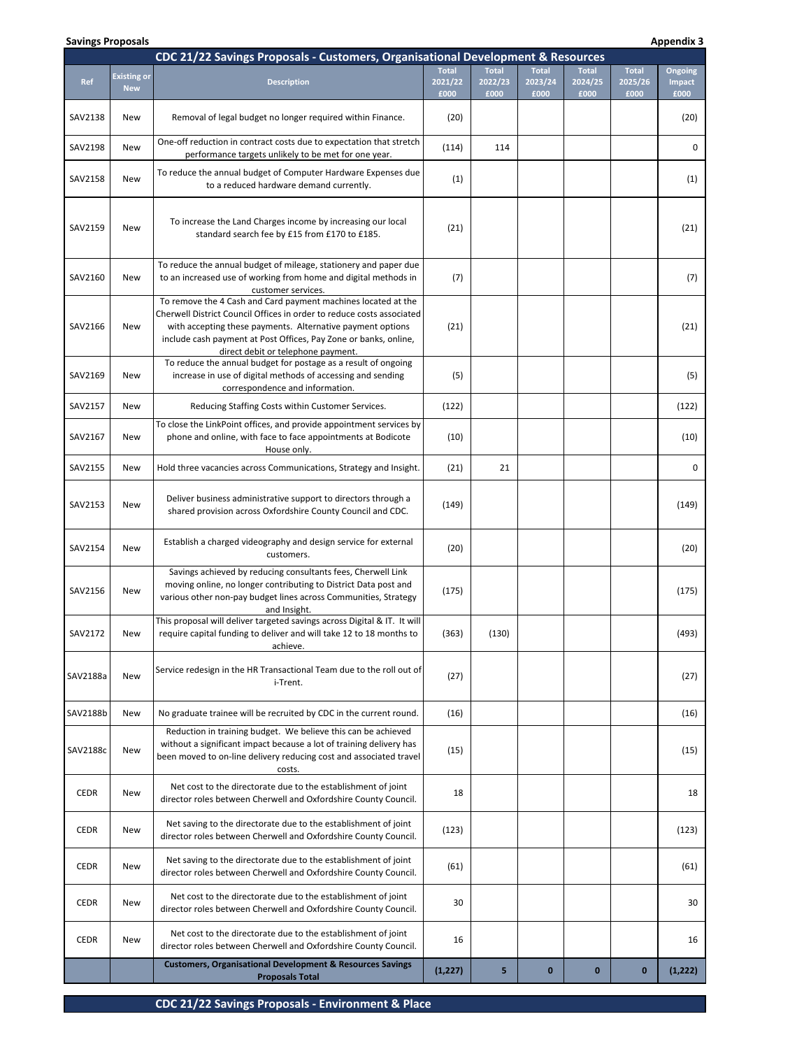| CDC 21/22 Savings Proposals - Customers, Organisational Development & Resources |                                  |                                                                                                                                                                                                                                                                                                                |                                 |                                 |                                 |                                 |                                 |                           |
|---------------------------------------------------------------------------------|----------------------------------|----------------------------------------------------------------------------------------------------------------------------------------------------------------------------------------------------------------------------------------------------------------------------------------------------------------|---------------------------------|---------------------------------|---------------------------------|---------------------------------|---------------------------------|---------------------------|
| <b>Ref</b>                                                                      | <b>Existing or</b><br><b>New</b> | <b>Description</b>                                                                                                                                                                                                                                                                                             | <b>Total</b><br>2021/22<br>£000 | <b>Total</b><br>2022/23<br>£000 | <b>Total</b><br>2023/24<br>£000 | <b>Total</b><br>2024/25<br>£000 | <b>Total</b><br>2025/26<br>£000 | Ongoing<br>Impact<br>£000 |
| SAV2138                                                                         | New                              | Removal of legal budget no longer required within Finance.                                                                                                                                                                                                                                                     | (20)                            |                                 |                                 |                                 |                                 | (20)                      |
| SAV2198                                                                         | New                              | One-off reduction in contract costs due to expectation that stretch<br>performance targets unlikely to be met for one year.                                                                                                                                                                                    | (114)                           | 114                             |                                 |                                 |                                 | 0                         |
| SAV2158                                                                         | New                              | To reduce the annual budget of Computer Hardware Expenses due<br>to a reduced hardware demand currently.                                                                                                                                                                                                       | (1)                             |                                 |                                 |                                 |                                 | (1)                       |
| SAV2159                                                                         | New                              | To increase the Land Charges income by increasing our local<br>standard search fee by £15 from £170 to £185.                                                                                                                                                                                                   | (21)                            |                                 |                                 |                                 |                                 | (21)                      |
| SAV2160                                                                         | New                              | To reduce the annual budget of mileage, stationery and paper due<br>to an increased use of working from home and digital methods in<br>customer services.                                                                                                                                                      | (7)                             |                                 |                                 |                                 |                                 | (7)                       |
| SAV2166                                                                         | New                              | To remove the 4 Cash and Card payment machines located at the<br>Cherwell District Council Offices in order to reduce costs associated<br>with accepting these payments. Alternative payment options<br>include cash payment at Post Offices, Pay Zone or banks, online,<br>direct debit or telephone payment. | (21)                            |                                 |                                 |                                 |                                 | (21)                      |
| SAV2169                                                                         | New                              | To reduce the annual budget for postage as a result of ongoing<br>increase in use of digital methods of accessing and sending<br>correspondence and information.                                                                                                                                               | (5)                             |                                 |                                 |                                 |                                 | (5)                       |
| SAV2157                                                                         | New                              | Reducing Staffing Costs within Customer Services.                                                                                                                                                                                                                                                              | (122)                           |                                 |                                 |                                 |                                 | (122)                     |
| SAV2167                                                                         | New                              | To close the LinkPoint offices, and provide appointment services by<br>phone and online, with face to face appointments at Bodicote<br>House only.                                                                                                                                                             | (10)                            |                                 |                                 |                                 |                                 | (10)                      |
| SAV2155                                                                         | New                              | Hold three vacancies across Communications, Strategy and Insight.                                                                                                                                                                                                                                              | (21)                            | 21                              |                                 |                                 |                                 | 0                         |
| SAV2153                                                                         | New                              | Deliver business administrative support to directors through a<br>shared provision across Oxfordshire County Council and CDC.                                                                                                                                                                                  | (149)                           |                                 |                                 |                                 |                                 | (149)                     |
| SAV2154                                                                         | New                              | Establish a charged videography and design service for external<br>customers.                                                                                                                                                                                                                                  | (20)                            |                                 |                                 |                                 |                                 | (20)                      |
| SAV2156                                                                         | New                              | Savings achieved by reducing consultants fees, Cherwell Link<br>moving online, no longer contributing to District Data post and<br>various other non-pay budget lines across Communities, Strategy<br>and Insight.                                                                                             | (175)                           |                                 |                                 |                                 |                                 | (175)                     |
| SAV2172                                                                         | New                              | This proposal will deliver targeted savings across Digital & IT. It will<br>require capital funding to deliver and will take 12 to 18 months to<br>achieve.                                                                                                                                                    | (363)                           | (130)                           |                                 |                                 |                                 | (493)                     |
| SAV2188a                                                                        | New                              | Service redesign in the HR Transactional Team due to the roll out of<br>i-Trent.                                                                                                                                                                                                                               | (27)                            |                                 |                                 |                                 |                                 | (27)                      |
| SAV2188b                                                                        | New                              | No graduate trainee will be recruited by CDC in the current round.                                                                                                                                                                                                                                             | (16)                            |                                 |                                 |                                 |                                 | (16)                      |
| SAV2188c                                                                        | <b>New</b>                       | Reduction in training budget. We believe this can be achieved<br>without a significant impact because a lot of training delivery has<br>been moved to on-line delivery reducing cost and associated travel<br>costs.                                                                                           | (15)                            |                                 |                                 |                                 |                                 | (15)                      |
| <b>CEDR</b>                                                                     | New                              | Net cost to the directorate due to the establishment of joint<br>director roles between Cherwell and Oxfordshire County Council.                                                                                                                                                                               | 18                              |                                 |                                 |                                 |                                 | 18                        |
| <b>CEDR</b>                                                                     | <b>New</b>                       | Net saving to the directorate due to the establishment of joint<br>director roles between Cherwell and Oxfordshire County Council.                                                                                                                                                                             | (123)                           |                                 |                                 |                                 |                                 | (123)                     |
| <b>CEDR</b>                                                                     | New                              | Net saving to the directorate due to the establishment of joint<br>director roles between Cherwell and Oxfordshire County Council.                                                                                                                                                                             | (61)                            |                                 |                                 |                                 |                                 | (61)                      |
| <b>CEDR</b>                                                                     | New                              | Net cost to the directorate due to the establishment of joint<br>director roles between Cherwell and Oxfordshire County Council.                                                                                                                                                                               | 30                              |                                 |                                 |                                 |                                 | 30                        |
| <b>CEDR</b>                                                                     | New                              | Net cost to the directorate due to the establishment of joint<br>director roles between Cherwell and Oxfordshire County Council.                                                                                                                                                                               | 16                              |                                 |                                 |                                 |                                 | 16                        |
|                                                                                 |                                  | <b>Customers, Organisational Development &amp; Resources Savings</b><br><b>Proposals Total</b>                                                                                                                                                                                                                 | (1, 227)                        | 5                               | $\mathbf 0$                     | $\bf{0}$                        | $\bf{0}$                        | (1, 222)                  |

**Savings Proposals Appendix 3 Appendix 3 Appendix 3 Appendix 3 Appendix 3 Appendix 3 Appendix 3 Appendix 3 Appendix 3 Appendix 3 Appendix 3 Appendix 3 Appendix 3 Appendix** 

**CDC 21/22 Savings Proposals ‐ Environment & Place**